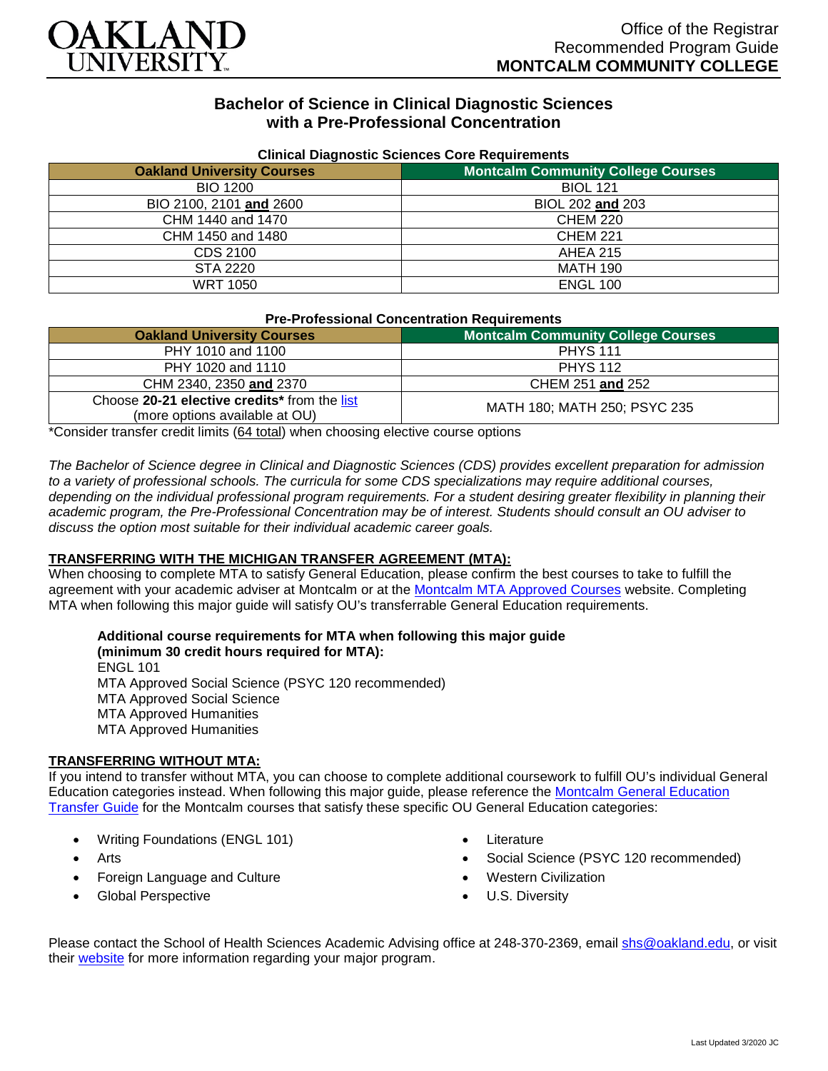

# **Bachelor of Science in Clinical Diagnostic Sciences with a Pre-Professional Concentration**

| <b>Uningle Diagnostic Ociences Core Requirements</b> |                                           |  |
|------------------------------------------------------|-------------------------------------------|--|
| <b>Oakland University Courses</b>                    | <b>Montcalm Community College Courses</b> |  |
| <b>BIO 1200</b>                                      | <b>BIOL 121</b>                           |  |
| BIO 2100, 2101 and 2600                              | BIOL 202 and 203                          |  |
| CHM 1440 and 1470                                    | <b>CHEM 220</b>                           |  |
| CHM 1450 and 1480                                    | <b>CHEM 221</b>                           |  |
| CDS 2100                                             | <b>AHEA 215</b>                           |  |
| STA 2220                                             | <b>MATH 190</b>                           |  |
| <b>WRT 1050</b>                                      | <b>ENGL 100</b>                           |  |

#### **Clinical Diagnostic Sciences Core Requirements**

| <b>Pre-Professional Concentration Requirements</b> |  |
|----------------------------------------------------|--|
|                                                    |  |

| <b>Oakland University Courses</b>                                              | <b>Montcalm Community College Courses</b> |
|--------------------------------------------------------------------------------|-------------------------------------------|
| PHY 1010 and 1100                                                              | <b>PHYS 111</b>                           |
| PHY 1020 and 1110                                                              | <b>PHYS 112</b>                           |
| CHM 2340, 2350 and 2370                                                        | CHEM 251 and 252                          |
| Choose 20-21 elective credits* from the list<br>(more options available at OU) | MATH 180; MATH 250; PSYC 235              |

\*Consider transfer credit limits (64 total) when choosing elective course options

*The Bachelor of Science degree in Clinical and Diagnostic Sciences (CDS) provides excellent preparation for admission to a variety of professional schools. The curricula for some CDS specializations may require additional courses, depending on the individual professional program requirements. For a student desiring greater flexibility in planning their academic program, the Pre-Professional Concentration may be of interest. Students should consult an OU adviser to discuss the option most suitable for their individual academic career goals.*

### **TRANSFERRING WITH THE MICHIGAN TRANSFER AGREEMENT (MTA):**

When choosing to complete MTA to satisfy General Education, please confirm the best courses to take to fulfill the agreement with your academic adviser at Montcalm or at the [Montcalm MTA Approved Courses](https://www.montcalm.edu/counseling/transfer/) website. Completing MTA when following this major guide will satisfy OU's transferrable General Education requirements.

**Additional course requirements for MTA when following this major guide (minimum 30 credit hours required for MTA):**

ENGL 101 MTA Approved Social Science (PSYC 120 recommended) MTA Approved Social Science MTA Approved Humanities MTA Approved Humanities

### **TRANSFERRING WITHOUT MTA:**

If you intend to transfer without MTA, you can choose to complete additional coursework to fulfill OU's individual General Education categories instead. When following this major guide, please reference the [Montcalm General Education](https://www.oakland.edu/Assets/Oakland/program-guides/montcalm-community-college/university-general-education-requirements/Montcalm%20Gen%20Ed.pdf)  [Transfer Guide](https://www.oakland.edu/Assets/Oakland/program-guides/montcalm-community-college/university-general-education-requirements/Montcalm%20Gen%20Ed.pdf) for the Montcalm courses that satisfy these specific OU General Education categories:

- Writing Foundations (ENGL 101)
- Arts
- Foreign Language and Culture
- Global Perspective
- **Literature**
- Social Science (PSYC 120 recommended)
- **Western Civilization**
- U.S. Diversity

Please contact the School of Health Sciences Academic Advising office at 248-370-2369, email [shs@oakland.edu,](mailto:shs@oakland.edu) or visit their [website](http://www.oakland.edu/shs/advising) for more information regarding your major program.